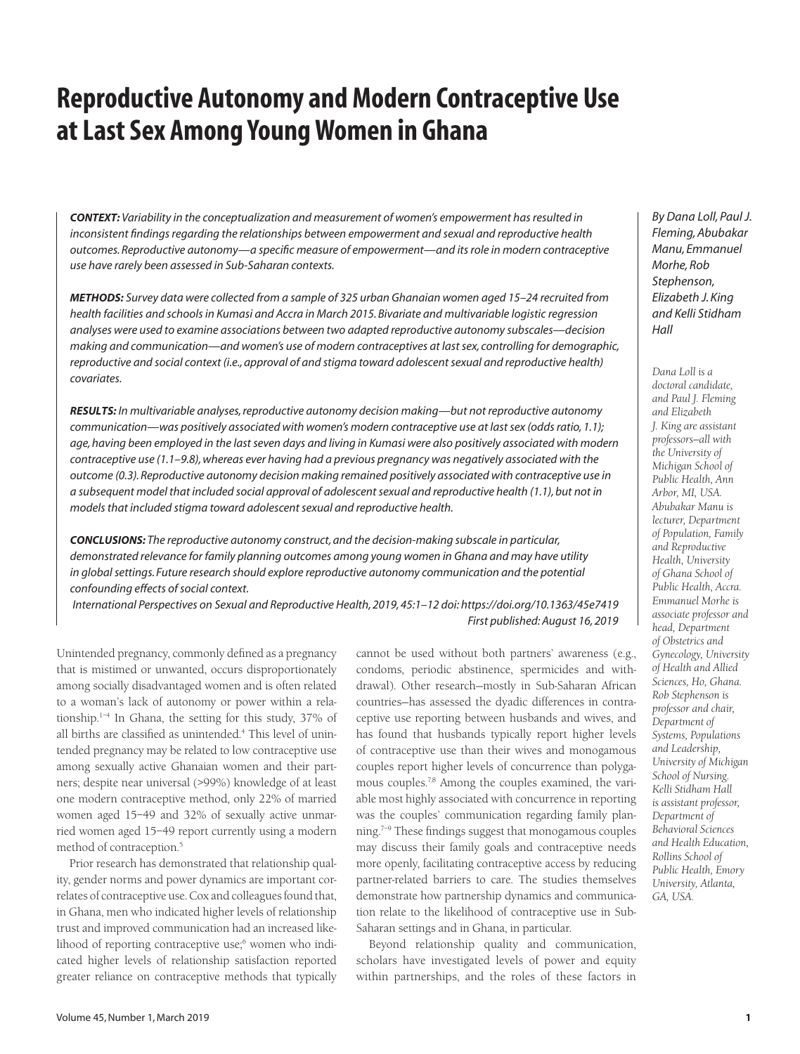# **Reproductive Autonomy and Modern Contraceptive Use at Last Sex Among Young Women in Ghana**

*CONTEXT: Variability in the conceptualization and measurement of women's empowerment has resulted in inconsistent findings regarding the relationships between empowerment and sexual and reproductive health outcomes. Reproductive autonomy—a specific measure of empowerment—and its role in modern contraceptive use have rarely been assessed in Sub-Saharan contexts.*

*METHODS: Survey data were collected from a sample of 325 urban Ghanaian women aged 15–24 recruited from health facilities and schools in Kumasi and Accra in March 2015. Bivariate and multivariable logistic regression analyses were used to examine associations between two adapted reproductive autonomy subscales—decision making and communication—and women's use of modern contraceptives at last sex, controlling for demographic, reproductive and social context (i.e., approval of and stigma toward adolescent sexual and reproductive health) covariates.*

*RESULTS: In multivariable analyses, reproductive autonomy decision making—but not reproductive autonomy communication—was positively associated with women's modern contraceptive use at last sex (odds ratio, 1.1); age, having been employed in the last seven days and living in Kumasi were also positively associated with modern contraceptive use (1.1–9.8), whereas ever having had a previous pregnancy was negatively associated with the outcome (0.3). Reproductive autonomy decision making remained positively associated with contraceptive use in a subsequent model that included social approval of adolescent sexual and reproductive health (1.1), but not in models that included stigma toward adolescent sexual and reproductive health.*

*CONCLUSIONS: The reproductive autonomy construct, and the decision-making subscale in particular, demonstrated relevance for family planning outcomes among young women in Ghana and may have utility in global settings. Future research should explore reproductive autonomy communication and the potential confounding effects of social context.*

*International Perspectives on Sexual and Reproductive Health, 2019, 45:1–12 doi: https://doi.org/10.1363/45e7419 First published: August 16, 2019*

Unintended pregnancy, commonly defined as a pregnancy that is mistimed or unwanted, occurs disproportionately among socially disadvantaged women and is often related to a woman's lack of autonomy or power within a relationship.1–4 In Ghana, the setting for this study, 37% of all births are classified as unintended.4 This level of unintended pregnancy may be related to low contraceptive use among sexually active Ghanaian women and their partners; despite near universal (>99%) knowledge of at least one modern contraceptive method, only 22% of married women aged 15–49 and 32% of sexually active unmarried women aged 15–49 report currently using a modern method of contraception.5

Prior research has demonstrated that relationship quality, gender norms and power dynamics are important correlates of contraceptive use. Cox and colleagues found that, in Ghana, men who indicated higher levels of relationship trust and improved communication had an increased likelihood of reporting contraceptive use;<sup>6</sup> women who indicated higher levels of relationship satisfaction reported greater reliance on contraceptive methods that typically

cannot be used without both partners' awareness (e.g., condoms, periodic abstinence, spermicides and withdrawal). Other research—mostly in Sub-Saharan African countries—has assessed the dyadic differences in contraceptive use reporting between husbands and wives, and has found that husbands typically report higher levels of contraceptive use than their wives and monogamous couples report higher levels of concurrence than polygamous couples.7,8 Among the couples examined, the variable most highly associated with concurrence in reporting was the couples' communication regarding family planning.7–9 These findings suggest that monogamous couples may discuss their family goals and contraceptive needs more openly, facilitating contraceptive access by reducing partner-related barriers to care. The studies themselves demonstrate how partnership dynamics and communication relate to the likelihood of contraceptive use in Sub-Saharan settings and in Ghana, in particular.

Beyond relationship quality and communication, scholars have investigated levels of power and equity within partnerships, and the roles of these factors in

*By Dana Loll, Paul J. Fleming, Abubakar Manu, Emmanuel Morhe, Rob Stephenson, Elizabeth J. King and Kelli Stidham Hall*

*Dana Loll is a doctoral candidate, and Paul J. Fleming and Elizabeth J. King are assistant professors—all with the University of Michigan School of Public Health, Ann Arbor, MI, USA. Abubakar Manu is lecturer, Department of Population, Family and Reproductive Health, University of Ghana School of Public Health, Accra. Emmanuel Morhe is associate professor and head, Department of Obstetrics and Gynecology, University of Health and Allied Sciences, Ho, Ghana. Rob Stephenson is professor and chair, Department of Systems, Populations and Leadership, University of Michigan School of Nursing. Kelli Stidham Hall is assistant professor, Department of Behavioral Sciences and Health Education, Rollins School of Public Health, Emory University, Atlanta, GA, USA.*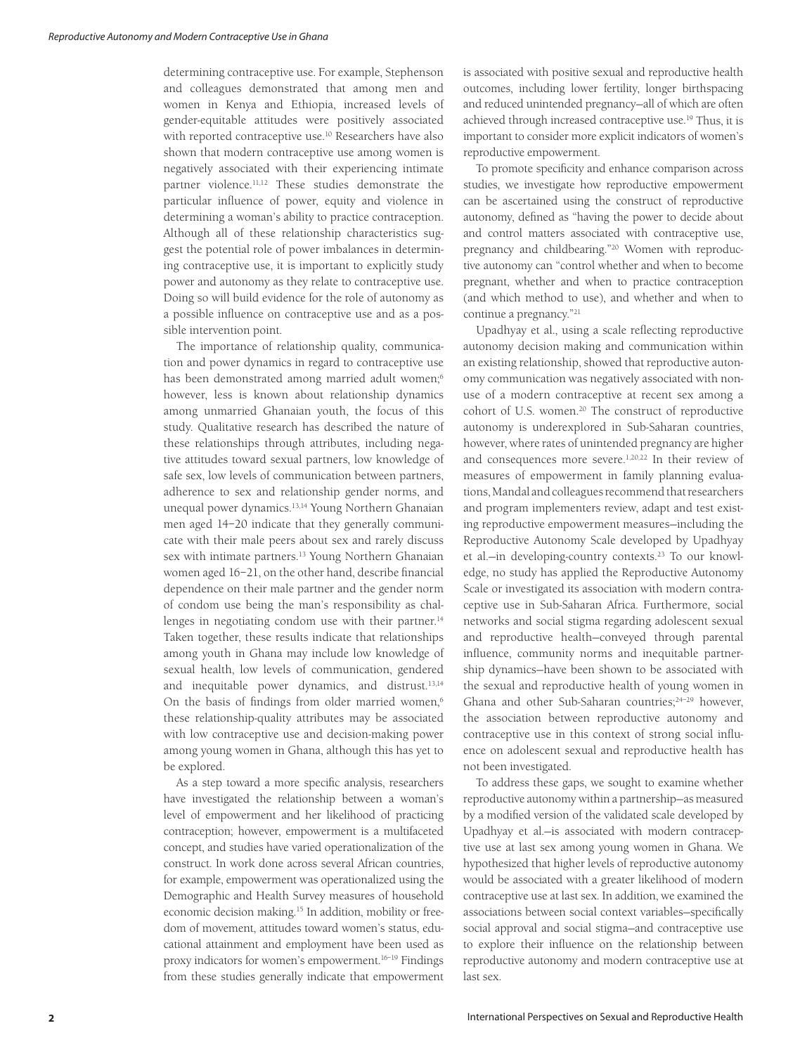determining contraceptive use. For example, Stephenson and colleagues demonstrated that among men and women in Kenya and Ethiopia, increased levels of gender-equitable attitudes were positively associated with reported contraceptive use.10 Researchers have also shown that modern contraceptive use among women is negatively associated with their experiencing intimate partner violence.11,12 These studies demonstrate the particular influence of power, equity and violence in determining a woman's ability to practice contraception. Although all of these relationship characteristics suggest the potential role of power imbalances in determining contraceptive use, it is important to explicitly study power and autonomy as they relate to contraceptive use. Doing so will build evidence for the role of autonomy as a possible influence on contraceptive use and as a possible intervention point.

The importance of relationship quality, communication and power dynamics in regard to contraceptive use has been demonstrated among married adult women;<sup>6</sup> however, less is known about relationship dynamics among unmarried Ghanaian youth, the focus of this study. Qualitative research has described the nature of these relationships through attributes, including negative attitudes toward sexual partners, low knowledge of safe sex, low levels of communication between partners, adherence to sex and relationship gender norms, and unequal power dynamics.13,14 Young Northern Ghanaian men aged 14–20 indicate that they generally communicate with their male peers about sex and rarely discuss sex with intimate partners.<sup>13</sup> Young Northern Ghanaian women aged 16–21, on the other hand, describe financial dependence on their male partner and the gender norm of condom use being the man's responsibility as challenges in negotiating condom use with their partner.<sup>14</sup> Taken together, these results indicate that relationships among youth in Ghana may include low knowledge of sexual health, low levels of communication, gendered and inequitable power dynamics, and distrust.13,14 On the basis of findings from older married women,<sup>6</sup> these relationship-quality attributes may be associated with low contraceptive use and decision-making power among young women in Ghana, although this has yet to be explored.

As a step toward a more specific analysis, researchers have investigated the relationship between a woman's level of empowerment and her likelihood of practicing contraception; however, empowerment is a multifaceted concept, and studies have varied operationalization of the construct. In work done across several African countries, for example, empowerment was operationalized using the Demographic and Health Survey measures of household economic decision making.15 In addition, mobility or freedom of movement, attitudes toward women's status, educational attainment and employment have been used as proxy indicators for women's empowerment.16–19 Findings from these studies generally indicate that empowerment is associated with positive sexual and reproductive health outcomes, including lower fertility, longer birthspacing and reduced unintended pregnancy—all of which are often achieved through increased contraceptive use.<sup>19</sup> Thus, it is important to consider more explicit indicators of women's reproductive empowerment.

To promote specificity and enhance comparison across studies, we investigate how reproductive empowerment can be ascertained using the construct of reproductive autonomy, defined as "having the power to decide about and control matters associated with contraceptive use, pregnancy and childbearing."20 Women with reproductive autonomy can "control whether and when to become pregnant, whether and when to practice contraception (and which method to use), and whether and when to continue a pregnancy."21

Upadhyay et al., using a scale reflecting reproductive autonomy decision making and communication within an existing relationship, showed that reproductive autonomy communication was negatively associated with nonuse of a modern contraceptive at recent sex among a cohort of U.S. women.<sup>20</sup> The construct of reproductive autonomy is underexplored in Sub-Saharan countries, however, where rates of unintended pregnancy are higher and consequences more severe.<sup>1,20,22</sup> In their review of measures of empowerment in family planning evaluations, Mandal and colleagues recommend that researchers and program implementers review, adapt and test existing reproductive empowerment measures—including the Reproductive Autonomy Scale developed by Upadhyay et al.—in developing-country contexts.23 To our knowledge, no study has applied the Reproductive Autonomy Scale or investigated its association with modern contraceptive use in Sub-Saharan Africa. Furthermore, social networks and social stigma regarding adolescent sexual and reproductive health—conveyed through parental influence, community norms and inequitable partnership dynamics—have been shown to be associated with the sexual and reproductive health of young women in Ghana and other Sub-Saharan countries;<sup>24-29</sup> however, the association between reproductive autonomy and contraceptive use in this context of strong social influence on adolescent sexual and reproductive health has not been investigated.

To address these gaps, we sought to examine whether reproductive autonomy within a partnership—as measured by a modified version of the validated scale developed by Upadhyay et al.—is associated with modern contraceptive use at last sex among young women in Ghana. We hypothesized that higher levels of reproductive autonomy would be associated with a greater likelihood of modern contraceptive use at last sex. In addition, we examined the associations between social context variables—specifically social approval and social stigma—and contraceptive use to explore their influence on the relationship between reproductive autonomy and modern contraceptive use at last sex.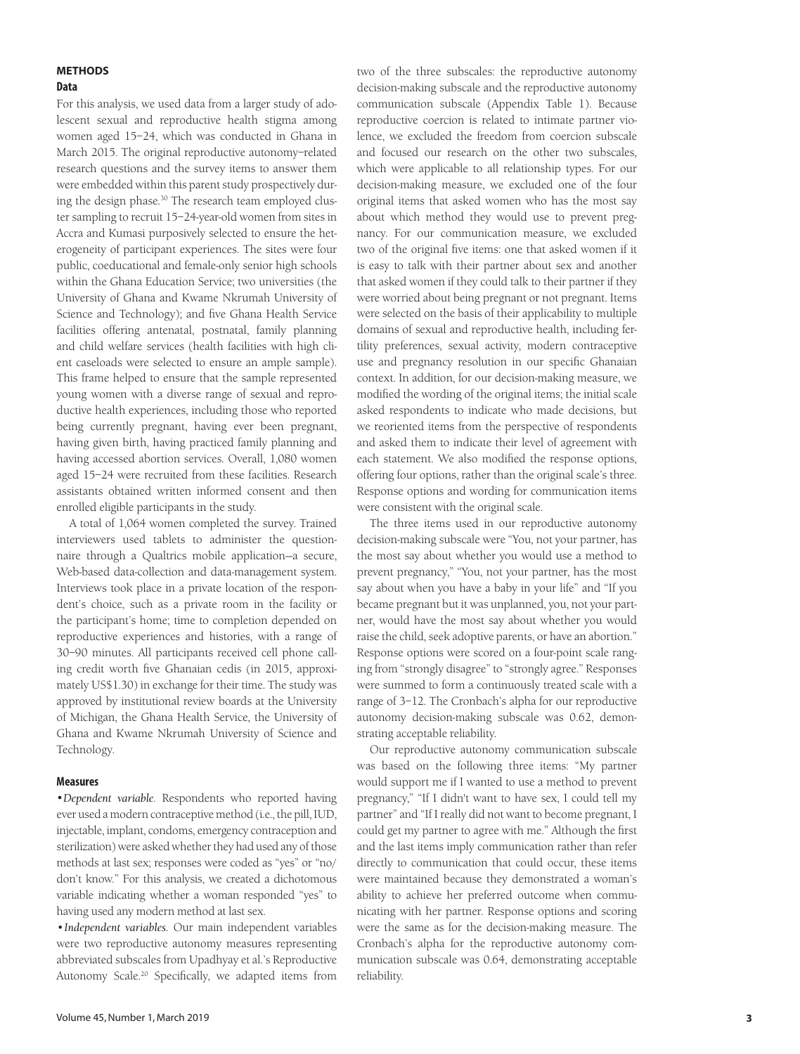# **METHODS Data**

For this analysis, we used data from a larger study of adolescent sexual and reproductive health stigma among women aged 15–24, which was conducted in Ghana in March 2015. The original reproductive autonomy–related research questions and the survey items to answer them were embedded within this parent study prospectively during the design phase.30 The research team employed cluster sampling to recruit 15–24-year-old women from sites in Accra and Kumasi purposively selected to ensure the heterogeneity of participant experiences. The sites were four public, coeducational and female-only senior high schools within the Ghana Education Service; two universities (the University of Ghana and Kwame Nkrumah University of Science and Technology); and five Ghana Health Service facilities offering antenatal, postnatal, family planning and child welfare services (health facilities with high client caseloads were selected to ensure an ample sample). This frame helped to ensure that the sample represented young women with a diverse range of sexual and reproductive health experiences, including those who reported being currently pregnant, having ever been pregnant, having given birth, having practiced family planning and having accessed abortion services. Overall, 1,080 women aged 15–24 were recruited from these facilities. Research assistants obtained written informed consent and then enrolled eligible participants in the study.

A total of 1,064 women completed the survey. Trained interviewers used tablets to administer the questionnaire through a Qualtrics mobile application—a secure, Web-based data-collection and data-management system. Interviews took place in a private location of the respondent's choice, such as a private room in the facility or the participant's home; time to completion depended on reproductive experiences and histories, with a range of 30–90 minutes. All participants received cell phone calling credit worth five Ghanaian cedis (in 2015, approximately US\$1.30) in exchange for their time. The study was approved by institutional review boards at the University of Michigan, the Ghana Health Service, the University of Ghana and Kwame Nkrumah University of Science and Technology.

## **Measures**

*•Dependent variable*. Respondents who reported having ever used a modern contraceptive method (i.e., the pill, IUD, injectable, implant, condoms, emergency contraception and sterilization) were asked whether they had used any of those methods at last sex; responses were coded as "yes" or "no/ don't know." For this analysis, we created a dichotomous variable indicating whether a woman responded "yes" to having used any modern method at last sex.

•*Independent variables*. Our main independent variables were two reproductive autonomy measures representing abbreviated subscales from Upadhyay et al.'s Reproductive Autonomy Scale.20 Specifically, we adapted items from

two of the three subscales: the reproductive autonomy decision-making subscale and the reproductive autonomy communication subscale (Appendix Table 1). Because reproductive coercion is related to intimate partner violence, we excluded the freedom from coercion subscale and focused our research on the other two subscales, which were applicable to all relationship types. For our decision-making measure, we excluded one of the four original items that asked women who has the most say about which method they would use to prevent pregnancy. For our communication measure, we excluded two of the original five items: one that asked women if it is easy to talk with their partner about sex and another that asked women if they could talk to their partner if they were worried about being pregnant or not pregnant. Items were selected on the basis of their applicability to multiple domains of sexual and reproductive health, including fertility preferences, sexual activity, modern contraceptive use and pregnancy resolution in our specific Ghanaian context. In addition, for our decision-making measure, we modified the wording of the original items; the initial scale asked respondents to indicate who made decisions, but we reoriented items from the perspective of respondents and asked them to indicate their level of agreement with each statement. We also modified the response options, offering four options, rather than the original scale's three. Response options and wording for communication items were consistent with the original scale.

The three items used in our reproductive autonomy decision-making subscale were "You, not your partner, has the most say about whether you would use a method to prevent pregnancy," "You, not your partner, has the most say about when you have a baby in your life" and "If you became pregnant but it was unplanned, you, not your partner, would have the most say about whether you would raise the child, seek adoptive parents, or have an abortion." Response options were scored on a four-point scale ranging from "strongly disagree" to "strongly agree." Responses were summed to form a continuously treated scale with a range of 3–12. The Cronbach's alpha for our reproductive autonomy decision-making subscale was 0.62, demonstrating acceptable reliability.

Our reproductive autonomy communication subscale was based on the following three items: "My partner would support me if I wanted to use a method to prevent pregnancy," "If I didn't want to have sex, I could tell my partner" and "If I really did not want to become pregnant, I could get my partner to agree with me." Although the first and the last items imply communication rather than refer directly to communication that could occur, these items were maintained because they demonstrated a woman's ability to achieve her preferred outcome when communicating with her partner. Response options and scoring were the same as for the decision-making measure. The Cronbach's alpha for the reproductive autonomy communication subscale was 0.64, demonstrating acceptable reliability.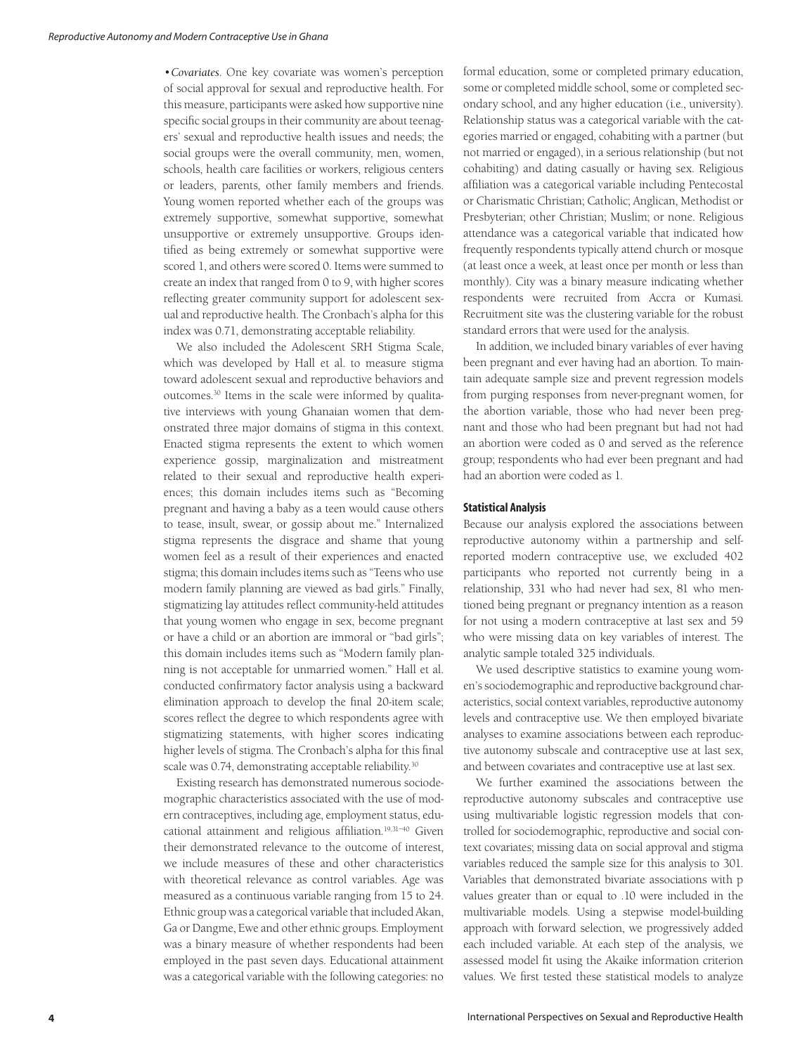•*Covariates*. One key covariate was women's perception of social approval for sexual and reproductive health. For this measure, participants were asked how supportive nine specific social groups in their community are about teenagers' sexual and reproductive health issues and needs; the social groups were the overall community, men, women, schools, health care facilities or workers, religious centers or leaders, parents, other family members and friends. Young women reported whether each of the groups was extremely supportive, somewhat supportive, somewhat unsupportive or extremely unsupportive. Groups identified as being extremely or somewhat supportive were scored 1, and others were scored 0. Items were summed to create an index that ranged from 0 to 9, with higher scores reflecting greater community support for adolescent sexual and reproductive health. The Cronbach's alpha for this index was 0.71, demonstrating acceptable reliability.

We also included the Adolescent SRH Stigma Scale, which was developed by Hall et al. to measure stigma toward adolescent sexual and reproductive behaviors and outcomes.30 Items in the scale were informed by qualitative interviews with young Ghanaian women that demonstrated three major domains of stigma in this context. Enacted stigma represents the extent to which women experience gossip, marginalization and mistreatment related to their sexual and reproductive health experiences; this domain includes items such as "Becoming pregnant and having a baby as a teen would cause others to tease, insult, swear, or gossip about me." Internalized stigma represents the disgrace and shame that young women feel as a result of their experiences and enacted stigma; this domain includes items such as "Teens who use modern family planning are viewed as bad girls." Finally, stigmatizing lay attitudes reflect community-held attitudes that young women who engage in sex, become pregnant or have a child or an abortion are immoral or "bad girls"; this domain includes items such as "Modern family planning is not acceptable for unmarried women." Hall et al. conducted confirmatory factor analysis using a backward elimination approach to develop the final 20-item scale; scores reflect the degree to which respondents agree with stigmatizing statements, with higher scores indicating higher levels of stigma. The Cronbach's alpha for this final scale was 0.74, demonstrating acceptable reliability.<sup>30</sup>

Existing research has demonstrated numerous sociodemographic characteristics associated with the use of modern contraceptives, including age, employment status, educational attainment and religious affiliation.<sup>19,31-40</sup> Given their demonstrated relevance to the outcome of interest, we include measures of these and other characteristics with theoretical relevance as control variables. Age was measured as a continuous variable ranging from 15 to 24. Ethnic group was a categorical variable that included Akan, Ga or Dangme, Ewe and other ethnic groups. Employment was a binary measure of whether respondents had been employed in the past seven days. Educational attainment was a categorical variable with the following categories: no

formal education, some or completed primary education, some or completed middle school, some or completed secondary school, and any higher education (i.e., university). Relationship status was a categorical variable with the categories married or engaged, cohabiting with a partner (but not married or engaged), in a serious relationship (but not cohabiting) and dating casually or having sex. Religious affiliation was a categorical variable including Pentecostal or Charismatic Christian; Catholic; Anglican, Methodist or Presbyterian; other Christian; Muslim; or none. Religious attendance was a categorical variable that indicated how frequently respondents typically attend church or mosque (at least once a week, at least once per month or less than monthly). City was a binary measure indicating whether respondents were recruited from Accra or Kumasi. Recruitment site was the clustering variable for the robust standard errors that were used for the analysis.

In addition, we included binary variables of ever having been pregnant and ever having had an abortion. To maintain adequate sample size and prevent regression models from purging responses from never-pregnant women, for the abortion variable, those who had never been pregnant and those who had been pregnant but had not had an abortion were coded as 0 and served as the reference group; respondents who had ever been pregnant and had had an abortion were coded as 1.

#### **Statistical Analysis**

Because our analysis explored the associations between reproductive autonomy within a partnership and selfreported modern contraceptive use, we excluded 402 participants who reported not currently being in a relationship, 331 who had never had sex, 81 who mentioned being pregnant or pregnancy intention as a reason for not using a modern contraceptive at last sex and 59 who were missing data on key variables of interest. The analytic sample totaled 325 individuals.

We used descriptive statistics to examine young women's sociodemographic and reproductive background characteristics, social context variables, reproductive autonomy levels and contraceptive use. We then employed bivariate analyses to examine associations between each reproductive autonomy subscale and contraceptive use at last sex, and between covariates and contraceptive use at last sex.

We further examined the associations between the reproductive autonomy subscales and contraceptive use using multivariable logistic regression models that controlled for sociodemographic, reproductive and social context covariates; missing data on social approval and stigma variables reduced the sample size for this analysis to 301. Variables that demonstrated bivariate associations with p values greater than or equal to .10 were included in the multivariable models. Using a stepwise model-building approach with forward selection, we progressively added each included variable. At each step of the analysis, we assessed model fit using the Akaike information criterion values. We first tested these statistical models to analyze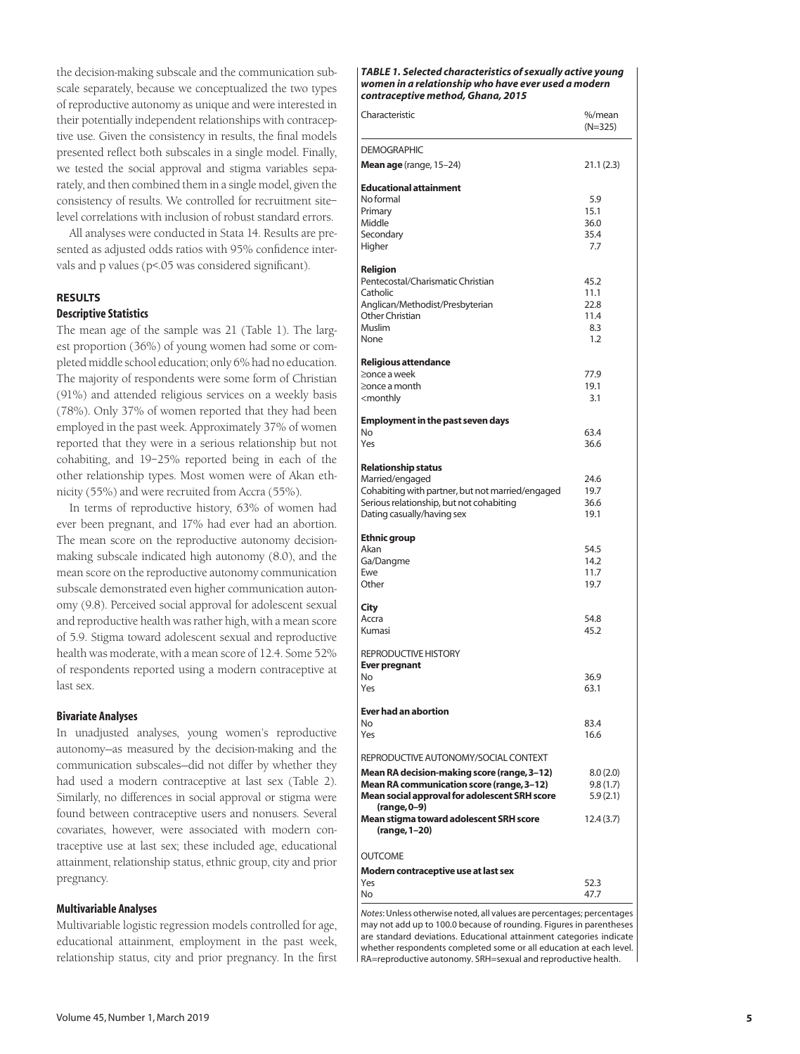the decision-making subscale and the communication subscale separately, because we conceptualized the two types of reproductive autonomy as unique and were interested in their potentially independent relationships with contraceptive use. Given the consistency in results, the final models presented reflect both subscales in a single model. Finally, we tested the social approval and stigma variables separately, and then combined them in a single model, given the consistency of results. We controlled for recruitment site– level correlations with inclusion of robust standard errors.

All analyses were conducted in Stata 14. Results are presented as adjusted odds ratios with 95% confidence intervals and p values (p<.05 was considered significant).

# **RESULTS**

# **Descriptive Statistics**

The mean age of the sample was 21 (Table 1). The largest proportion (36%) of young women had some or completed middle school education; only 6% had no education. The majority of respondents were some form of Christian (91%) and attended religious services on a weekly basis (78%). Only 37% of women reported that they had been employed in the past week. Approximately 37% of women reported that they were in a serious relationship but not cohabiting, and 19–25% reported being in each of the other relationship types. Most women were of Akan ethnicity (55%) and were recruited from Accra (55%).

In terms of reproductive history, 63% of women had ever been pregnant, and 17% had ever had an abortion. The mean score on the reproductive autonomy decisionmaking subscale indicated high autonomy (8.0), and the mean score on the reproductive autonomy communication subscale demonstrated even higher communication autonomy (9.8). Perceived social approval for adolescent sexual and reproductive health was rather high, with a mean score of 5.9. Stigma toward adolescent sexual and reproductive health was moderate, with a mean score of 12.4. Some 52% of respondents reported using a modern contraceptive at last sex.

## **Bivariate Analyses**

In unadjusted analyses, young women's reproductive autonomy—as measured by the decision-making and the communication subscales—did not differ by whether they had used a modern contraceptive at last sex (Table 2). Similarly, no differences in social approval or stigma were found between contraceptive users and nonusers. Several covariates, however, were associated with modern contraceptive use at last sex; these included age, educational attainment, relationship status, ethnic group, city and prior pregnancy.

#### **Multivariable Analyses**

Multivariable logistic regression models controlled for age, educational attainment, employment in the past week, relationship status, city and prior pregnancy. In the first

#### *TABLE 1. Selected characteristics of sexually active young women in a relationship who have ever used a modern contraceptive method, Ghana, 2015*

| Characteristic                                                                                                                                                              | %/mean<br>(N=325)                          |
|-----------------------------------------------------------------------------------------------------------------------------------------------------------------------------|--------------------------------------------|
| <b>DEMOGRAPHIC</b>                                                                                                                                                          |                                            |
| Mean age (range, 15-24)                                                                                                                                                     | 21.1 (2.3)                                 |
| <b>Educational attainment</b><br>No formal<br>Primary<br>Middle<br>Secondary<br>Higher                                                                                      | 5.9<br>15.1<br>36.0<br>35.4<br>7.7         |
| Religion<br>Pentecostal/Charismatic Christian<br>Catholic<br>Anglican/Methodist/Presbyterian<br>Other Christian<br>Muslim<br>None                                           | 45.2<br>11.1<br>22.8<br>11.4<br>8.3<br>1.2 |
| <b>Religious attendance</b><br>>once a week<br>≥once a month<br><monthly< td=""><td>77.9<br/>19.1<br/>3.1</td></monthly<>                                                   | 77.9<br>19.1<br>3.1                        |
| <b>Employment in the past seven days</b>                                                                                                                                    |                                            |
| No<br>Yes                                                                                                                                                                   | 63.4<br>36.6                               |
| <b>Relationship status</b><br>Married/engaged<br>Cohabiting with partner, but not married/engaged<br>Serious relationship, but not cohabiting<br>Dating casually/having sex | 24.6<br>19.7<br>36.6<br>19.1               |
| <b>Ethnic group</b><br>Akan<br>Ga/Dangme<br>Ewe<br>Other                                                                                                                    | 54.5<br>14.2<br>11.7<br>19.7               |
| City<br>Accra<br>Kumasi                                                                                                                                                     | 54.8<br>45.2                               |
| <b>REPRODUCTIVE HISTORY</b><br><b>Ever pregnant</b><br>No<br>Yes                                                                                                            | 36.9<br>63.1                               |
| <b>Ever had an abortion</b>                                                                                                                                                 |                                            |
| N <sub>O</sub><br>Yes                                                                                                                                                       | 83.4<br>16.6                               |
| REPRODUCTIVE AUTONOMY/SOCIAL CONTEXT                                                                                                                                        |                                            |
| Mean RA decision-making score (range, 3-12)<br><b>Mean RA communication score (range, 3-12)</b><br>Mean social approval for adolescent SRH score<br>(range, 0–9)            | 8.0(2.0)<br>9.8(1.7)<br>5.9(2.1)           |
| Mean stigma toward adolescent SRH score<br>(range, 1-20)                                                                                                                    | 12.4(3.7)                                  |
| <b>OUTCOME</b>                                                                                                                                                              |                                            |
| Modern contraceptive use at last sex                                                                                                                                        |                                            |
| Yes<br>No                                                                                                                                                                   | 52.3<br>47.7                               |

*Notes*: Unless otherwise noted, all values are percentages; percentages may not add up to 100.0 because of rounding. Figures in parentheses are standard deviations. Educational attainment categories indicate whether respondents completed some or all education at each level. RA=reproductive autonomy. SRH=sexual and reproductive health.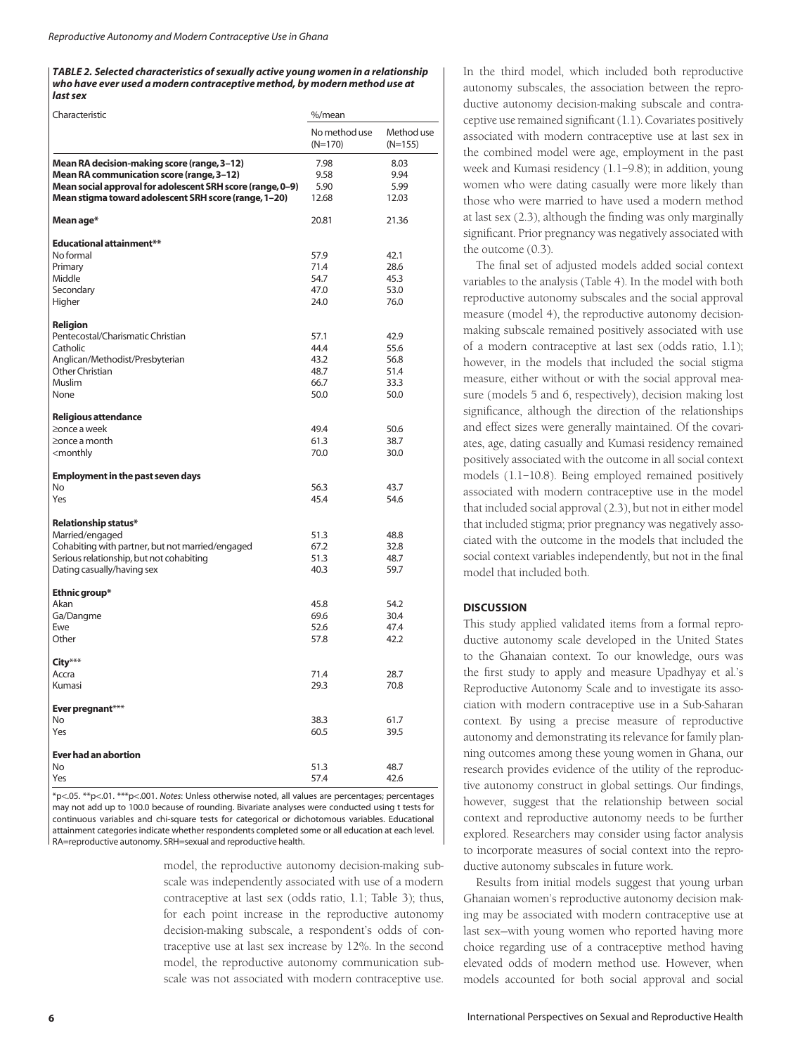#### *TABLE 2. Selected characteristics of sexually active young women in a relationship who have ever used a modern contraceptive method, by modern method use at last sex*

| Characteristic                                             | %/mean                   |                         |
|------------------------------------------------------------|--------------------------|-------------------------|
|                                                            | No method use<br>(N=170) | Method use<br>$(N=155)$ |
| Mean RA decision-making score (range, 3-12)                | 7.98                     | 8.03                    |
| Mean RA communication score (range, 3-12)                  | 9.58                     | 9.94                    |
| Mean social approval for adolescent SRH score (range, 0-9) | 5.90                     | 5.99                    |
| Mean stigma toward adolescent SRH score (range, 1-20)      | 12.68                    | 12.03                   |
| Mean age*                                                  | 20.81                    | 21.36                   |
| <b>Educational attainment**</b>                            |                          |                         |
| No formal                                                  | 57.9                     | 42.1                    |
| Primary                                                    | 71.4                     | 28.6                    |
| Middle                                                     | 54.7                     | 45.3                    |
| Secondary                                                  | 47.0                     | 53.0                    |
| Higher                                                     | 24.0                     | 76.0                    |
| Religion                                                   |                          |                         |
| Pentecostal/Charismatic Christian                          | 57.1                     | 42.9                    |
| Catholic                                                   | 44.4                     | 55.6                    |
| Anglican/Methodist/Presbyterian                            | 43.2                     | 56.8                    |
| Other Christian                                            | 48.7                     | 51.4                    |
| <b>Muslim</b>                                              | 66.7                     | 33.3                    |
| None                                                       | 50.0                     | 50.0                    |
|                                                            |                          |                         |
| <b>Religious attendance</b>                                |                          |                         |
| ≥once a week                                               | 49.4                     | 50.6                    |
| $\geq$ once a month                                        | 61.3                     | 38.7                    |
| <monthly< td=""><td>70.0</td><td>30.0</td></monthly<>      | 70.0                     | 30.0                    |
|                                                            |                          |                         |
| <b>Employment in the past seven days</b>                   |                          |                         |
| No                                                         | 56.3                     | 43.7                    |
| Yes                                                        | 45.4                     | 54.6                    |
| Relationship status*                                       |                          |                         |
| Married/engaged                                            | 51.3                     | 48.8                    |
| Cohabiting with partner, but not married/engaged           | 67.2                     | 32.8                    |
| Serious relationship, but not cohabiting                   | 51.3                     | 48.7                    |
| Dating casually/having sex                                 | 40.3                     | 59.7                    |
| Ethnic group*                                              |                          |                         |
| Akan                                                       | 45.8                     | 54.2                    |
| Ga/Dangme                                                  | 69.6                     | 30.4                    |
| Ewe                                                        | 52.6                     | 47.4                    |
| Other                                                      | 57.8                     | 42.2                    |
| City***                                                    |                          |                         |
| Accra                                                      | 71.4                     | 28.7                    |
| Kumasi                                                     | 29.3                     | 70.8                    |
| Ever pregnant***                                           |                          |                         |
| <b>No</b>                                                  | 38.3                     | 61.7                    |
| Yes                                                        | 60.5                     | 39.5                    |
|                                                            |                          |                         |
| <b>Ever had an abortion</b>                                |                          |                         |
| <b>No</b>                                                  | 51.3                     | 48.7                    |
| Yes                                                        | 57.4                     | 42.6                    |

\*p<.05. \*\*p<.01. \*\*\*p<.001. *Notes*: Unless otherwise noted, all values are percentages; percentages may not add up to 100.0 because of rounding. Bivariate analyses were conducted using t tests for continuous variables and chi-square tests for categorical or dichotomous variables. Educational attainment categories indicate whether respondents completed some or all education at each level. RA=reproductive autonomy. SRH=sexual and reproductive health.

> model, the reproductive autonomy decision-making subscale was independently associated with use of a modern contraceptive at last sex (odds ratio, 1.1; Table 3); thus, for each point increase in the reproductive autonomy decision-making subscale, a respondent's odds of contraceptive use at last sex increase by 12%. In the second model, the reproductive autonomy communication subscale was not associated with modern contraceptive use.

In the third model, which included both reproductive autonomy subscales, the association between the reproductive autonomy decision-making subscale and contraceptive use remained significant (1.1). Covariates positively associated with modern contraceptive use at last sex in the combined model were age, employment in the past week and Kumasi residency (1.1–9.8); in addition, young women who were dating casually were more likely than those who were married to have used a modern method at last sex (2.3), although the finding was only marginally significant. Prior pregnancy was negatively associated with the outcome (0.3).

The final set of adjusted models added social context variables to the analysis (Table 4). In the model with both reproductive autonomy subscales and the social approval measure (model 4), the reproductive autonomy decisionmaking subscale remained positively associated with use of a modern contraceptive at last sex (odds ratio, 1.1); however, in the models that included the social stigma measure, either without or with the social approval measure (models 5 and 6, respectively), decision making lost significance, although the direction of the relationships and effect sizes were generally maintained. Of the covariates, age, dating casually and Kumasi residency remained positively associated with the outcome in all social context models (1.1–10.8). Being employed remained positively associated with modern contraceptive use in the model that included social approval (2.3), but not in either model that included stigma; prior pregnancy was negatively associated with the outcome in the models that included the social context variables independently, but not in the final model that included both.

# **DISCUSSION**

This study applied validated items from a formal reproductive autonomy scale developed in the United States to the Ghanaian context. To our knowledge, ours was the first study to apply and measure Upadhyay et al.'s Reproductive Autonomy Scale and to investigate its association with modern contraceptive use in a Sub-Saharan context. By using a precise measure of reproductive autonomy and demonstrating its relevance for family planning outcomes among these young women in Ghana, our research provides evidence of the utility of the reproductive autonomy construct in global settings. Our findings, however, suggest that the relationship between social context and reproductive autonomy needs to be further explored. Researchers may consider using factor analysis to incorporate measures of social context into the reproductive autonomy subscales in future work.

Results from initial models suggest that young urban Ghanaian women's reproductive autonomy decision making may be associated with modern contraceptive use at last sex—with young women who reported having more choice regarding use of a contraceptive method having elevated odds of modern method use. However, when models accounted for both social approval and social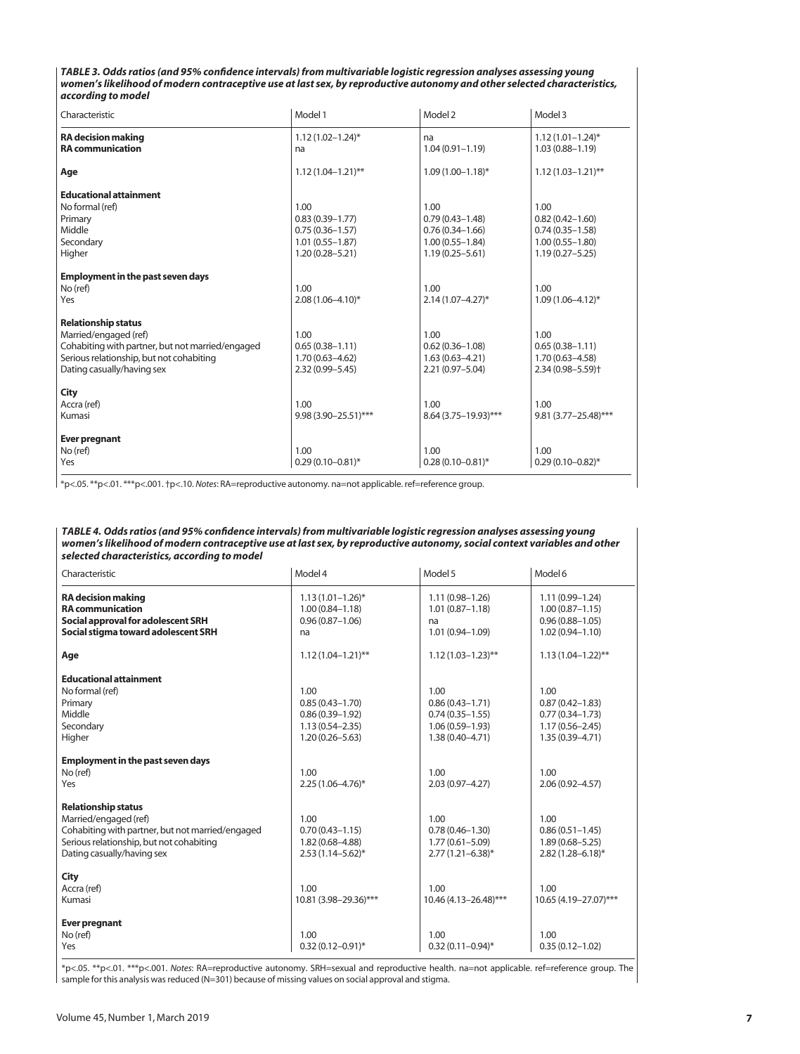*TABLE 3. Odds ratios (and 95% confidence intervals) from multivariable logistic regression analyses assessing young women's likelihood of modern contraceptive use at last sex, by reproductive autonomy and other selected characteristics, according to model*

| Characteristic                                                                                                                                                                    | Model 1                                                                                          | Model 2                                                                                          | Model 3                                                                                          |
|-----------------------------------------------------------------------------------------------------------------------------------------------------------------------------------|--------------------------------------------------------------------------------------------------|--------------------------------------------------------------------------------------------------|--------------------------------------------------------------------------------------------------|
| <b>RA</b> decision making<br><b>RA</b> communication                                                                                                                              | $1.12(1.02 - 1.24)^*$<br>na                                                                      | na<br>$1.04(0.91 - 1.19)$                                                                        | $1.12(1.01 - 1.24)^{*}$<br>$1.03(0.88 - 1.19)$                                                   |
| Age                                                                                                                                                                               | $1.12(1.04 - 1.21)$ **                                                                           | $1.09(1.00 - 1.18)^*$                                                                            | $1.12(1.03 - 1.21)$ **                                                                           |
| <b>Educational attainment</b><br>No formal (ref)<br>Primary<br>Middle<br>Secondary<br>Higher                                                                                      | 1.00<br>$0.83(0.39 - 1.77)$<br>$0.75(0.36 - 1.57)$<br>$1.01(0.55 - 1.87)$<br>$1.20(0.28 - 5.21)$ | 1.00<br>$0.79(0.43 - 1.48)$<br>$0.76(0.34 - 1.66)$<br>$1.00(0.55 - 1.84)$<br>$1.19(0.25 - 5.61)$ | 1.00<br>$0.82(0.42 - 1.60)$<br>$0.74(0.35 - 1.58)$<br>$1.00(0.55 - 1.80)$<br>$1.19(0.27 - 5.25)$ |
| <b>Employment in the past seven days</b><br>No (ref)<br>Yes                                                                                                                       | 1.00<br>$2.08(1.06 - 4.10)^{*}$                                                                  | 1.00<br>$2.14(1.07 - 4.27)^{*}$                                                                  | 1.00<br>$1.09(1.06 - 4.12)^{*}$                                                                  |
| <b>Relationship status</b><br>Married/engaged (ref)<br>Cohabiting with partner, but not married/engaged<br>Serious relationship, but not cohabiting<br>Dating casually/having sex | 1.00<br>$0.65(0.38 - 1.11)$<br>$1.70(0.63 - 4.62)$<br>$2.32(0.99 - 5.45)$                        | 1.00<br>$0.62(0.36 - 1.08)$<br>$1.63(0.63 - 4.21)$<br>2.21 (0.97-5.04)                           | 1.00<br>$0.65(0.38 - 1.11)$<br>$1.70(0.63 - 4.58)$<br>$2.34(0.98 - 5.59)$ <sup>+</sup>           |
| City<br>Accra (ref)<br>Kumasi                                                                                                                                                     | 1.00<br>$9.98(3.90 - 25.51)$ ***                                                                 | 1.00<br>$8.64(3.75 - 19.93)$ ***                                                                 | 1.00<br>$9.81(3.77 - 25.48)$ ***                                                                 |
| <b>Ever pregnant</b><br>No (ref)<br>Yes                                                                                                                                           | 1.00<br>$0.29(0.10 - 0.81)^{*}$                                                                  | 1.00<br>$0.28(0.10 - 0.81)^*$                                                                    | 1.00<br>$0.29(0.10 - 0.82)$ *                                                                    |

\*p<.05. \*\*p<.01. \*\*\*p<.001. †p<.10. *Notes*: RA=reproductive autonomy. na=not applicable. ref=reference group.

| TABLE 4. Odds ratios (and 95% confidence intervals) from multivariable logistic regression analyses assessing young      |
|--------------------------------------------------------------------------------------------------------------------------|
| women's likelihood of modern contraceptive use at last sex, by reproductive autonomy, social context variables and other |
| selected characteristics, accordina to model                                                                             |

| Characteristic                                                                                                                                                                    | Model 4                                                                                          | Model 5                                                                                          | Model 6                                                                                          |
|-----------------------------------------------------------------------------------------------------------------------------------------------------------------------------------|--------------------------------------------------------------------------------------------------|--------------------------------------------------------------------------------------------------|--------------------------------------------------------------------------------------------------|
| <b>RA</b> decision making<br><b>RA</b> communication<br>Social approval for adolescent SRH<br>Social stigma toward adolescent SRH                                                 | $1.13(1.01 - 1.26)^{*}$<br>$1.00(0.84 - 1.18)$<br>$0.96(0.87 - 1.06)$<br>na                      | $1.11(0.98 - 1.26)$<br>$1.01(0.87 - 1.18)$<br>na<br>$1.01(0.94 - 1.09)$                          | $1.11(0.99 - 1.24)$<br>$1.00(0.87 - 1.15)$<br>$0.96(0.88 - 1.05)$<br>$1.02(0.94 - 1.10)$         |
| Age                                                                                                                                                                               | $1.12(1.04 - 1.21)$ **                                                                           | $1.12(1.03 - 1.23)$ **                                                                           | $1.13(1.04 - 1.22)$ **                                                                           |
| <b>Educational attainment</b><br>No formal (ref)<br>Primary<br>Middle<br>Secondary<br>Higher                                                                                      | 1.00<br>$0.85(0.43 - 1.70)$<br>$0.86(0.39 - 1.92)$<br>$1.13(0.54 - 2.35)$<br>$1.20(0.26 - 5.63)$ | 1.00<br>$0.86(0.43 - 1.71)$<br>$0.74(0.35 - 1.55)$<br>$1.06(0.59 - 1.93)$<br>$1.38(0.40 - 4.71)$ | 1.00<br>$0.87(0.42 - 1.83)$<br>$0.77(0.34 - 1.73)$<br>$1.17(0.56 - 2.45)$<br>$1.35(0.39 - 4.71)$ |
| <b>Employment in the past seven days</b><br>No (ref)<br>Yes                                                                                                                       | 1.00<br>$2.25(1.06 - 4.76)^*$                                                                    | 1.00<br>$2.03(0.97 - 4.27)$                                                                      | 1.00<br>$2.06(0.92 - 4.57)$                                                                      |
| <b>Relationship status</b><br>Married/engaged (ref)<br>Cohabiting with partner, but not married/engaged<br>Serious relationship, but not cohabiting<br>Dating casually/having sex | 1.00<br>$0.70(0.43 - 1.15)$<br>$1.82(0.68 - 4.88)$<br>$2.53(1.14 - 5.62)^{*}$                    | 1.00<br>$0.78(0.46 - 1.30)$<br>$1.77(0.61 - 5.09)$<br>$2.77(1.21 - 6.38)^{*}$                    | 1.00<br>$0.86(0.51 - 1.45)$<br>$1.89(0.68 - 5.25)$<br>$2.82(1.28 - 6.18)^*$                      |
| City<br>Accra (ref)<br>Kumasi                                                                                                                                                     | 1.00<br>10.81 (3.98-29.36)***                                                                    | 1.00<br>$10.46(4.13 - 26.48)$ ***                                                                | 1.00<br>10.65 (4.19-27.07)***                                                                    |
| <b>Ever pregnant</b><br>No (ref)<br>Yes                                                                                                                                           | 1.00<br>$0.32(0.12 - 0.91)^{*}$                                                                  | 1.00<br>$0.32(0.11 - 0.94)^{*}$                                                                  | 1.00<br>$0.35(0.12 - 1.02)$                                                                      |

\*p<.05. \*\*p<.01. \*\*\*p<.001. *Notes*: RA=reproductive autonomy. SRH=sexual and reproductive health. na=not applicable. ref=reference group. The  $\mid$  sample for this analysis was reduced (N=301) because of missing values on social approval and stigma.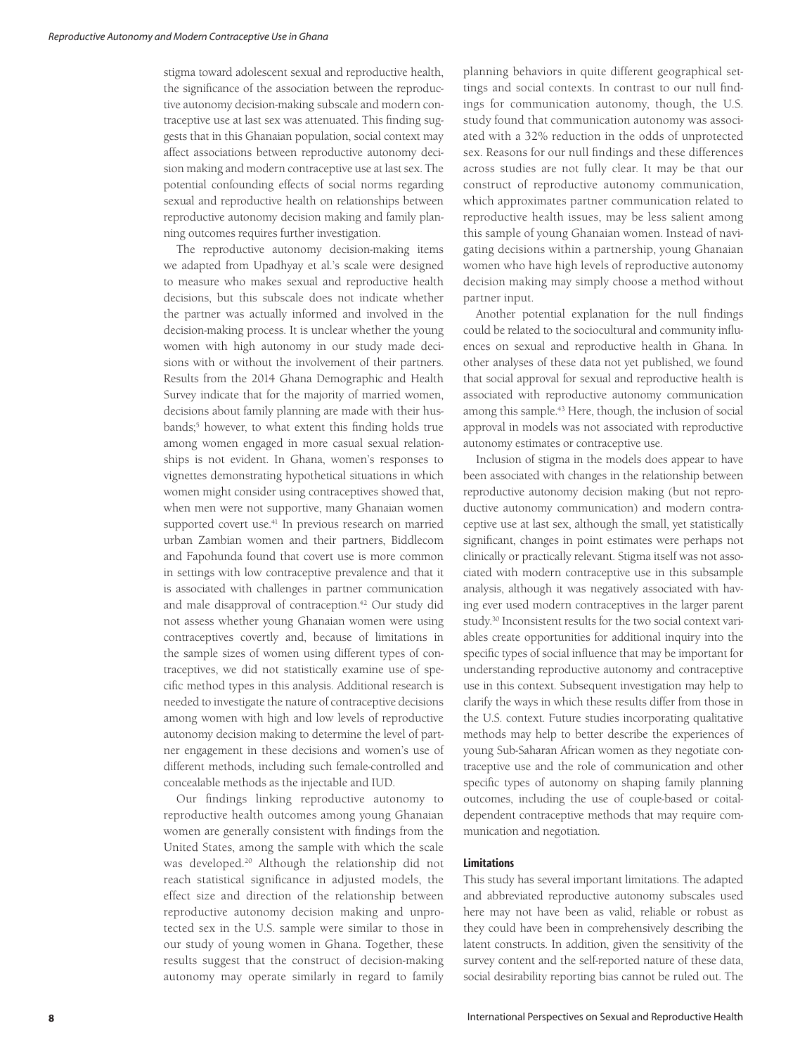stigma toward adolescent sexual and reproductive health, the significance of the association between the reproductive autonomy decision-making subscale and modern contraceptive use at last sex was attenuated. This finding suggests that in this Ghanaian population, social context may affect associations between reproductive autonomy decision making and modern contraceptive use at last sex. The potential confounding effects of social norms regarding sexual and reproductive health on relationships between reproductive autonomy decision making and family planning outcomes requires further investigation.

The reproductive autonomy decision-making items we adapted from Upadhyay et al.'s scale were designed to measure who makes sexual and reproductive health decisions, but this subscale does not indicate whether the partner was actually informed and involved in the decision-making process. It is unclear whether the young women with high autonomy in our study made decisions with or without the involvement of their partners. Results from the 2014 Ghana Demographic and Health Survey indicate that for the majority of married women, decisions about family planning are made with their husbands;<sup>5</sup> however, to what extent this finding holds true among women engaged in more casual sexual relationships is not evident. In Ghana, women's responses to vignettes demonstrating hypothetical situations in which women might consider using contraceptives showed that, when men were not supportive, many Ghanaian women supported covert use.<sup>41</sup> In previous research on married urban Zambian women and their partners, Biddlecom and Fapohunda found that covert use is more common in settings with low contraceptive prevalence and that it is associated with challenges in partner communication and male disapproval of contraception.<sup>42</sup> Our study did not assess whether young Ghanaian women were using contraceptives covertly and, because of limitations in the sample sizes of women using different types of contraceptives, we did not statistically examine use of specific method types in this analysis. Additional research is needed to investigate the nature of contraceptive decisions among women with high and low levels of reproductive autonomy decision making to determine the level of partner engagement in these decisions and women's use of different methods, including such female-controlled and concealable methods as the injectable and IUD.

Our findings linking reproductive autonomy to reproductive health outcomes among young Ghanaian women are generally consistent with findings from the United States, among the sample with which the scale was developed.20 Although the relationship did not reach statistical significance in adjusted models, the effect size and direction of the relationship between reproductive autonomy decision making and unprotected sex in the U.S. sample were similar to those in our study of young women in Ghana. Together, these results suggest that the construct of decision-making autonomy may operate similarly in regard to family

planning behaviors in quite different geographical settings and social contexts. In contrast to our null findings for communication autonomy, though, the U.S. study found that communication autonomy was associated with a 32% reduction in the odds of unprotected sex. Reasons for our null findings and these differences across studies are not fully clear. It may be that our construct of reproductive autonomy communication, which approximates partner communication related to reproductive health issues, may be less salient among this sample of young Ghanaian women. Instead of navigating decisions within a partnership, young Ghanaian women who have high levels of reproductive autonomy decision making may simply choose a method without partner input.

Another potential explanation for the null findings could be related to the sociocultural and community influences on sexual and reproductive health in Ghana. In other analyses of these data not yet published, we found that social approval for sexual and reproductive health is associated with reproductive autonomy communication among this sample.43 Here, though, the inclusion of social approval in models was not associated with reproductive autonomy estimates or contraceptive use.

Inclusion of stigma in the models does appear to have been associated with changes in the relationship between reproductive autonomy decision making (but not reproductive autonomy communication) and modern contraceptive use at last sex, although the small, yet statistically significant, changes in point estimates were perhaps not clinically or practically relevant. Stigma itself was not associated with modern contraceptive use in this subsample analysis, although it was negatively associated with having ever used modern contraceptives in the larger parent study.30 Inconsistent results for the two social context variables create opportunities for additional inquiry into the specific types of social influence that may be important for understanding reproductive autonomy and contraceptive use in this context. Subsequent investigation may help to clarify the ways in which these results differ from those in the U.S. context. Future studies incorporating qualitative methods may help to better describe the experiences of young Sub-Saharan African women as they negotiate contraceptive use and the role of communication and other specific types of autonomy on shaping family planning outcomes, including the use of couple-based or coitaldependent contraceptive methods that may require communication and negotiation.

# **Limitations**

This study has several important limitations. The adapted and abbreviated reproductive autonomy subscales used here may not have been as valid, reliable or robust as they could have been in comprehensively describing the latent constructs. In addition, given the sensitivity of the survey content and the self-reported nature of these data, social desirability reporting bias cannot be ruled out. The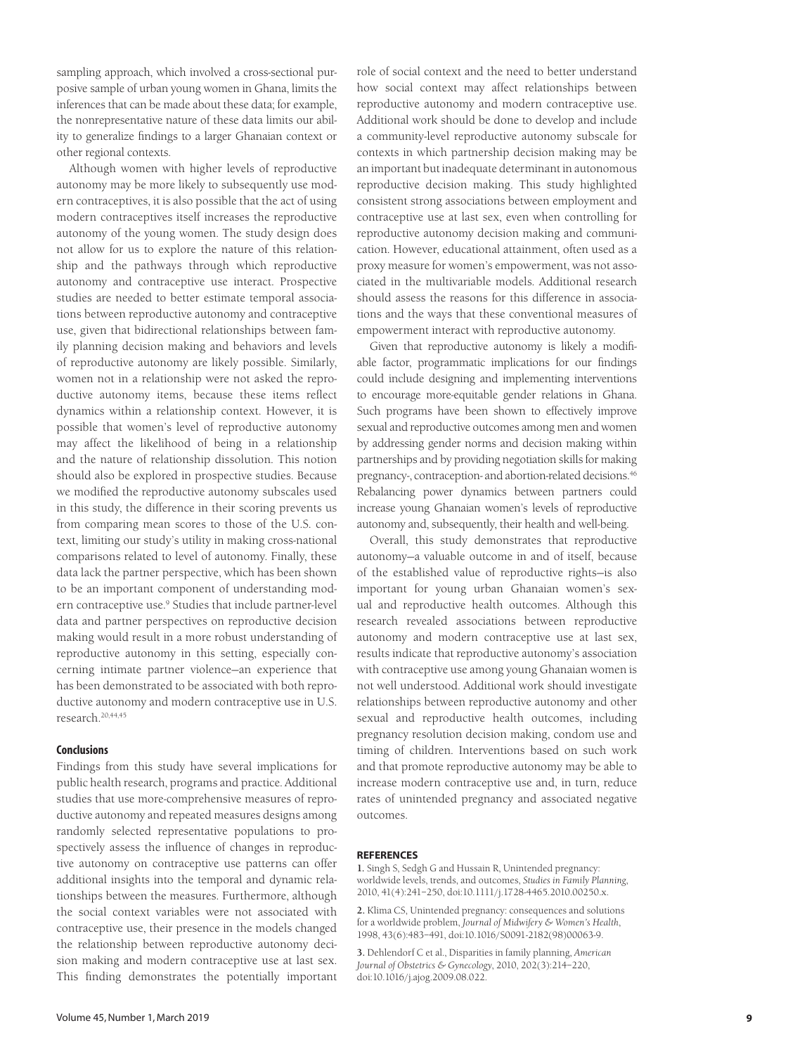sampling approach, which involved a cross-sectional purposive sample of urban young women in Ghana, limits the inferences that can be made about these data; for example, the nonrepresentative nature of these data limits our ability to generalize findings to a larger Ghanaian context or other regional contexts.

Although women with higher levels of reproductive autonomy may be more likely to subsequently use modern contraceptives, it is also possible that the act of using modern contraceptives itself increases the reproductive autonomy of the young women. The study design does not allow for us to explore the nature of this relationship and the pathways through which reproductive autonomy and contraceptive use interact. Prospective studies are needed to better estimate temporal associations between reproductive autonomy and contraceptive use, given that bidirectional relationships between family planning decision making and behaviors and levels of reproductive autonomy are likely possible. Similarly, women not in a relationship were not asked the reproductive autonomy items, because these items reflect dynamics within a relationship context. However, it is possible that women's level of reproductive autonomy may affect the likelihood of being in a relationship and the nature of relationship dissolution. This notion should also be explored in prospective studies. Because we modified the reproductive autonomy subscales used in this study, the difference in their scoring prevents us from comparing mean scores to those of the U.S. context, limiting our study's utility in making cross-national comparisons related to level of autonomy. Finally, these data lack the partner perspective, which has been shown to be an important component of understanding modern contraceptive use.9 Studies that include partner-level data and partner perspectives on reproductive decision making would result in a more robust understanding of reproductive autonomy in this setting, especially concerning intimate partner violence—an experience that has been demonstrated to be associated with both reproductive autonomy and modern contraceptive use in U.S. research.20,44,45

## **Conclusions**

Findings from this study have several implications for public health research, programs and practice. Additional studies that use more-comprehensive measures of reproductive autonomy and repeated measures designs among randomly selected representative populations to prospectively assess the influence of changes in reproductive autonomy on contraceptive use patterns can offer additional insights into the temporal and dynamic relationships between the measures. Furthermore, although the social context variables were not associated with contraceptive use, their presence in the models changed the relationship between reproductive autonomy decision making and modern contraceptive use at last sex. This finding demonstrates the potentially important role of social context and the need to better understand how social context may affect relationships between reproductive autonomy and modern contraceptive use. Additional work should be done to develop and include a community-level reproductive autonomy subscale for contexts in which partnership decision making may be an important but inadequate determinant in autonomous reproductive decision making. This study highlighted consistent strong associations between employment and contraceptive use at last sex, even when controlling for reproductive autonomy decision making and communication. However, educational attainment, often used as a proxy measure for women's empowerment, was not associated in the multivariable models. Additional research should assess the reasons for this difference in associations and the ways that these conventional measures of empowerment interact with reproductive autonomy.

Given that reproductive autonomy is likely a modifiable factor, programmatic implications for our findings could include designing and implementing interventions to encourage more-equitable gender relations in Ghana. Such programs have been shown to effectively improve sexual and reproductive outcomes among men and women by addressing gender norms and decision making within partnerships and by providing negotiation skills for making pregnancy-, contraception- and abortion-related decisions.46 Rebalancing power dynamics between partners could increase young Ghanaian women's levels of reproductive autonomy and, subsequently, their health and well-being.

Overall, this study demonstrates that reproductive autonomy—a valuable outcome in and of itself, because of the established value of reproductive rights—is also important for young urban Ghanaian women's sexual and reproductive health outcomes. Although this research revealed associations between reproductive autonomy and modern contraceptive use at last sex, results indicate that reproductive autonomy's association with contraceptive use among young Ghanaian women is not well understood. Additional work should investigate relationships between reproductive autonomy and other sexual and reproductive health outcomes, including pregnancy resolution decision making, condom use and timing of children. Interventions based on such work and that promote reproductive autonomy may be able to increase modern contraceptive use and, in turn, reduce rates of unintended pregnancy and associated negative outcomes.

#### **REFERENCES**

**1.** Singh S, Sedgh G and Hussain R, Unintended pregnancy: worldwide levels, trends, and outcomes, *Studies in Family Planning*, 2010, 41(4):241–250, doi:10.1111/j.1728-4465.2010.00250.x.

**2.** Klima CS, Unintended pregnancy: consequences and solutions for a worldwide problem, *Journal of Midwifery & Women's Health*, 1998, 43(6):483–491, doi:10.1016/S0091-2182(98)00063-9.

**3.** Dehlendorf C et al., Disparities in family planning, *American Journal of Obstetrics & Gynecology*, 2010, 202(3):214–220, doi:10.1016/j.ajog.2009.08.022.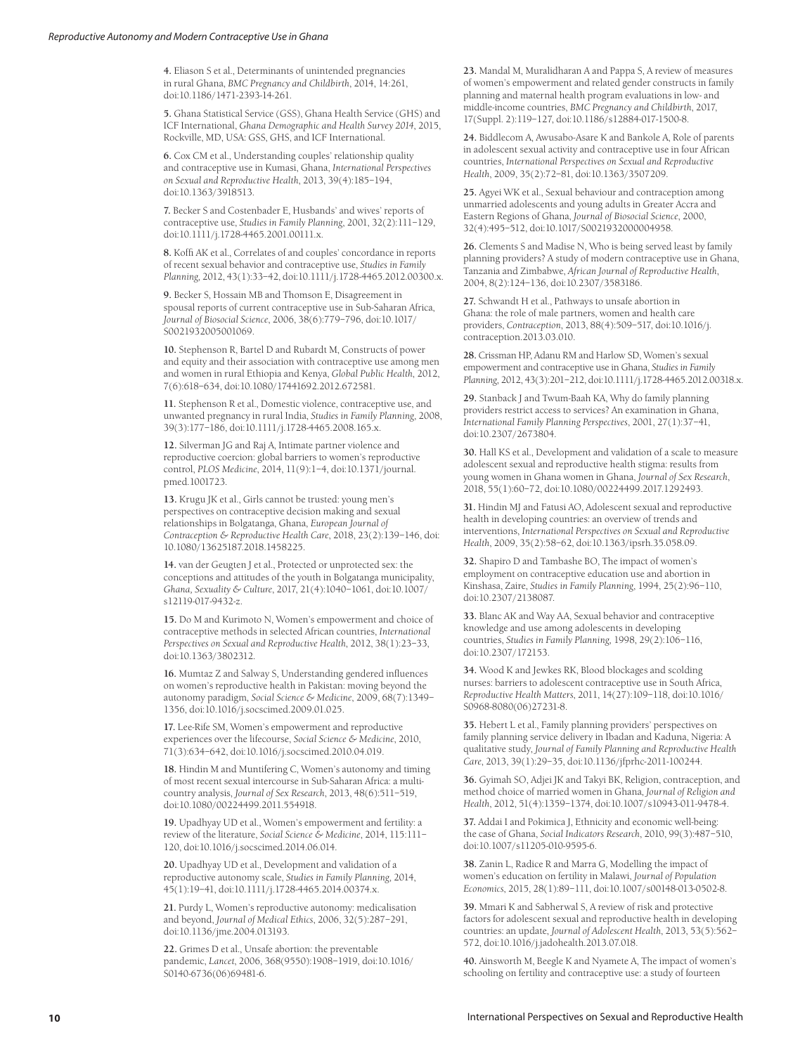**4.** Eliason S et al., Determinants of unintended pregnancies in rural Ghana, *BMC Pregnancy and Childbirth*, 2014, 14:261, doi:10.1186/1471-2393-14-261.

**5.** Ghana Statistical Service (GSS), Ghana Health Service (GHS) and ICF International, *Ghana Demographic and Health Survey 2014*, 2015, Rockville, MD, USA: GSS, GHS, and ICF International.

**6.** Cox CM et al., Understanding couples' relationship quality and contraceptive use in Kumasi, Ghana, *International Perspectives on Sexual and Reproductive Health*, 2013, 39(4):185–194, doi:10.1363/3918513.

**7.** Becker S and Costenbader E, Husbands' and wives' reports of contraceptive use, *Studies in Family Planning*, 2001, 32(2):111–129, doi:10.1111/j.1728-4465.2001.00111.x.

**8.** Koffi AK et al., Correlates of and couples' concordance in reports of recent sexual behavior and contraceptive use, *Studies in Family Planning*, 2012, 43(1):33–42, doi:10.1111/j.1728-4465.2012.00300.x.

**9.** Becker S, Hossain MB and Thomson E, Disagreement in spousal reports of current contraceptive use in Sub-Saharan Africa, *Journal of Biosocial Science*, 2006, 38(6):779–796, doi:10.1017/ S0021932005001069.

**10.** Stephenson R, Bartel D and Rubardt M, Constructs of power and equity and their association with contraceptive use among men and women in rural Ethiopia and Kenya, *Global Public Health*, 2012, 7(6):618–634, doi:10.1080/17441692.2012.672581.

**11.** Stephenson R et al., Domestic violence, contraceptive use, and unwanted pregnancy in rural India, *Studies in Family Planning*, 2008, 39(3):177–186, doi:10.1111/j.1728-4465.2008.165.x.

**12.** Silverman JG and Raj A, Intimate partner violence and reproductive coercion: global barriers to women's reproductive control, *PLOS Medicine*, 2014, 11(9):1–4, doi:10.1371/journal. pmed.1001723.

**13.** Krugu JK et al., Girls cannot be trusted: young men's perspectives on contraceptive decision making and sexual relationships in Bolgatanga, Ghana, *European Journal of Contraception & Reproductive Health Care*, 2018, 23(2):139–146, doi: 10.1080/13625187.2018.1458225.

**14.** van der Geugten J et al., Protected or unprotected sex: the conceptions and attitudes of the youth in Bolgatanga municipality, *Ghana, Sexuality & Culture*, 2017, 21(4):1040–1061, doi:10.1007/ s12119-017-9432-z.

**15.** Do M and Kurimoto N, Women's empowerment and choice of contraceptive methods in selected African countries, *International Perspectives on Sexual and Reproductive Health*, 2012, 38(1):23–33, doi:10.1363/3802312.

**16.** Mumtaz Z and Salway S, Understanding gendered influences on women's reproductive health in Pakistan: moving beyond the autonomy paradigm, *Social Science & Medicine*, 2009, 68(7):1349– 1356, doi:10.1016/j.socscimed.2009.01.025.

**17.** Lee-Rife SM, Women's empowerment and reproductive experiences over the lifecourse, *Social Science & Medicine*, 2010, 71(3):634–642, doi:10.1016/j.socscimed.2010.04.019.

**18.** Hindin M and Muntifering C, Women's autonomy and timing of most recent sexual intercourse in Sub-Saharan Africa: a multicountry analysis, *Journal of Sex Research*, 2013, 48(6):511–519, doi:10.1080/00224499.2011.554918.

**19.** Upadhyay UD et al., Women's empowerment and fertility: a review of the literature, *Social Science & Medicine*, 2014, 115:111– 120, doi:10.1016/j.socscimed.2014.06.014.

**20.** Upadhyay UD et al., Development and validation of a reproductive autonomy scale, *Studies in Family Planning*, 2014, 45(1):19–41, doi:10.1111/j.1728-4465.2014.00374.x.

**21.** Purdy L, Women's reproductive autonomy: medicalisation and beyond, *Journal of Medical Ethics*, 2006, 32(5):287–291, doi:10.1136/jme.2004.013193.

**22.** Grimes D et al., Unsafe abortion: the preventable pandemic, *Lancet*, 2006, 368(9550):1908–1919, doi:10.1016/ S0140-6736(06)69481-6.

**23.** Mandal M, Muralidharan A and Pappa S, A review of measures of women's empowerment and related gender constructs in family planning and maternal health program evaluations in low- and middle-income countries, *BMC Pregnancy and Childbirth*, 2017, 17(Suppl. 2):119–127, doi:10.1186/s12884-017-1500-8.

**24.** Biddlecom A, Awusabo-Asare K and Bankole A, Role of parents in adolescent sexual activity and contraceptive use in four African countries, *International Perspectives on Sexual and Reproductive Health*, 2009, 35(2):72–81, doi:10.1363/3507209.

**25.** Agyei WK et al., Sexual behaviour and contraception among unmarried adolescents and young adults in Greater Accra and Eastern Regions of Ghana, *Journal of Biosocial Science*, 2000, 32(4):495–512, doi:10.1017/S0021932000004958.

**26.** Clements S and Madise N, Who is being served least by family planning providers? A study of modern contraceptive use in Ghana, Tanzania and Zimbabwe, *African Journal of Reproductive Health*, 2004, 8(2):124–136, doi:10.2307/3583186.

**27.** Schwandt H et al., Pathways to unsafe abortion in Ghana: the role of male partners, women and health care providers, *Contraception*, 2013, 88(4):509–517, doi:10.1016/j. contraception.2013.03.010.

**28.** Crissman HP, Adanu RM and Harlow SD, Women's sexual empowerment and contraceptive use in Ghana, *Studies in Family Planning*, 2012, 43(3):201–212, doi:10.1111/j.1728-4465.2012.00318.x.

**29.** Stanback J and Twum-Baah KA, Why do family planning providers restrict access to services? An examination in Ghana, *International Family Planning Perspectives*, 2001, 27(1):37–41, doi:10.2307/2673804.

**30.** Hall KS et al., Development and validation of a scale to measure adolescent sexual and reproductive health stigma: results from young women in Ghana women in Ghana, *Journal of Sex Research*, 2018, 55(1):60–72, doi:10.1080/00224499.2017.1292493.

**31.** Hindin MJ and Fatusi AO, Adolescent sexual and reproductive health in developing countries: an overview of trends and interventions, *International Perspectives on Sexual and Reproductive Health*, 2009, 35(2):58–62, doi:10.1363/ipsrh.35.058.09.

**32.** Shapiro D and Tambashe BO, The impact of women's employment on contraceptive education use and abortion in Kinshasa, Zaire, *Studies in Family Planning*, 1994, 25(2):96–110, doi:10.2307/2138087.

**33.** Blanc AK and Way AA, Sexual behavior and contraceptive knowledge and use among adolescents in developing countries, *Studies in Family Planning*, 1998, 29(2):106–116, doi:10.2307/172153.

**34.** Wood K and Jewkes RK, Blood blockages and scolding nurses: barriers to adolescent contraceptive use in South Africa, *Reproductive Health Matters*, 2011, 14(27):109–118, doi:10.1016/ S0968-8080(06)27231-8.

**35.** Hebert L et al., Family planning providers' perspectives on family planning service delivery in Ibadan and Kaduna, Nigeria: A qualitative study, *Journal of Family Planning and Reproductive Health Care*, 2013, 39(1):29–35, doi:10.1136/jfprhc-2011-100244.

**36.** Gyimah SO, Adjei JK and Takyi BK, Religion, contraception, and method choice of married women in Ghana, *Journal of Religion and Health*, 2012, 51(4):1359–1374, doi:10.1007/s10943-011-9478-4.

**37.** Addai I and Pokimica J, Ethnicity and economic well-being: the case of Ghana, *Social Indicators Research*, 2010, 99(3):487–510, doi:10.1007/s11205-010-9595-6.

**38.** Zanin L, Radice R and Marra G, Modelling the impact of women's education on fertility in Malawi, *Journal of Population Economics*, 2015, 28(1):89–111, doi:10.1007/s00148-013-0502-8.

**39.** Mmari K and Sabherwal S, A review of risk and protective factors for adolescent sexual and reproductive health in developing countries: an update, *Journal of Adolescent Health*, 2013, 53(5):562– 572, doi:10.1016/j.jadohealth.2013.07.018.

**40.** Ainsworth M, Beegle K and Nyamete A, The impact of women's schooling on fertility and contraceptive use: a study of fourteen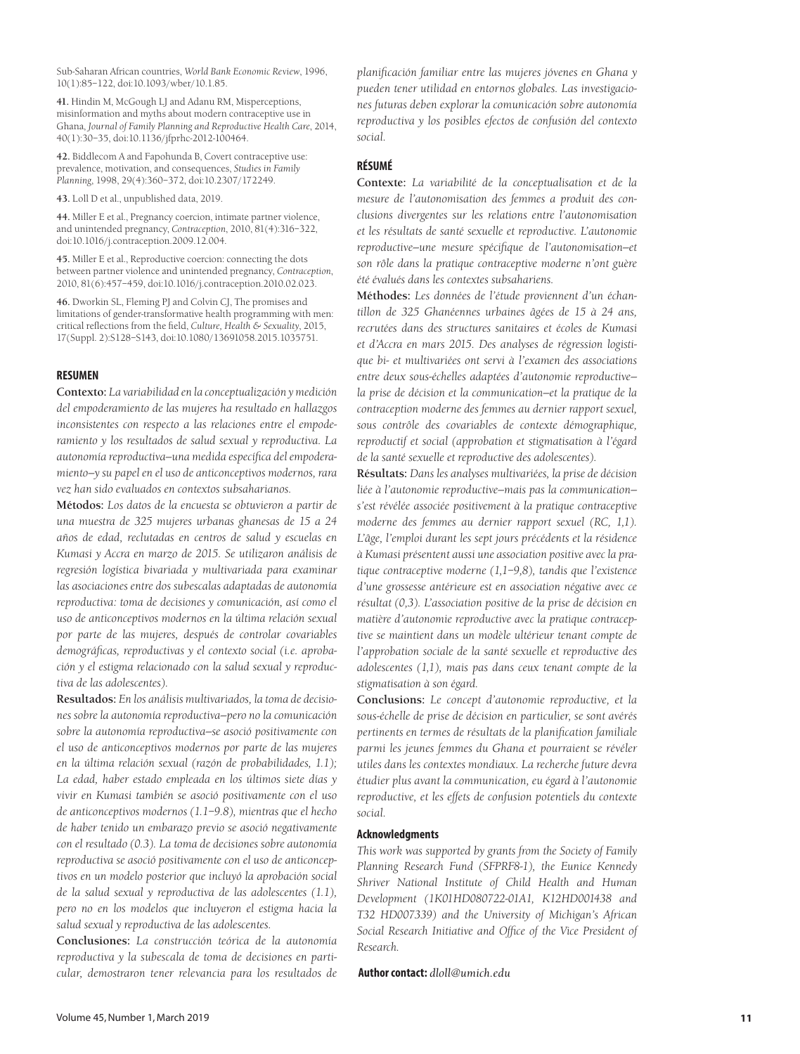Sub-Saharan African countries, *World Bank Economic Review*, 1996, 10(1):85–122, doi:10.1093/wber/10.1.85.

**41.** Hindin M, McGough LJ and Adanu RM, Misperceptions, misinformation and myths about modern contraceptive use in Ghana, *Journal of Family Planning and Reproductive Health Care*, 2014, 40(1):30–35, doi:10.1136/jfprhc-2012-100464.

**42.** Biddlecom A and Fapohunda B, Covert contraceptive use: prevalence, motivation, and consequences, *Studies in Family Planning*, 1998, 29(4):360–372, doi:10.2307/172249.

**43.** Loll D et al., unpublished data, 2019.

**44.** Miller E et al., Pregnancy coercion, intimate partner violence, and unintended pregnancy, *Contraception*, 2010, 81(4):316–322, doi:10.1016/j.contraception.2009.12.004.

**45.** Miller E et al., Reproductive coercion: connecting the dots between partner violence and unintended pregnancy, *Contraception*, 2010, 81(6):457–459, doi:10.1016/j.contraception.2010.02.023.

**46.** Dworkin SL, Fleming PJ and Colvin CJ, The promises and limitations of gender-transformative health programming with men: critical reflections from the field, *Culture, Health & Sexuality*, 2015, 17(Suppl. 2):S128–S143, doi:10.1080/13691058.2015.1035751.

## **RESUMEN**

**Contexto:** *La variabilidad en la conceptualización y medición del empoderamiento de las mujeres ha resultado en hallazgos inconsistentes con respecto a las relaciones entre el empoderamiento y los resultados de salud sexual y reproductiva. La autonomía reproductiva—una medida específica del empoderamiento—y su papel en el uso de anticonceptivos modernos, rara vez han sido evaluados en contextos subsaharianos.*

**Métodos:** *Los datos de la encuesta se obtuvieron a partir de una muestra de 325 mujeres urbanas ghanesas de 15 a 24 años de edad, reclutadas en centros de salud y escuelas en Kumasi y Accra en marzo de 2015. Se utilizaron análisis de regresión logística bivariada y multivariada para examinar las asociaciones entre dos subescalas adaptadas de autonomía reproductiva: toma de decisiones y comunicación, así como el uso de anticonceptivos modernos en la última relación sexual por parte de las mujeres, después de controlar covariables demográficas, reproductivas y el contexto social (i.e. aprobación y el estigma relacionado con la salud sexual y reproductiva de las adolescentes).*

**Resultados:** *En los análisis multivariados, la toma de decisiones sobre la autonomía reproductiva—pero no la comunicación sobre la autonomía reproductiva—se asoció positivamente con el uso de anticonceptivos modernos por parte de las mujeres en la última relación sexual (razón de probabilidades, 1.1); La edad, haber estado empleada en los últimos siete días y vivir en Kumasi también se asoció positivamente con el uso de anticonceptivos modernos (1.1–9.8), mientras que el hecho de haber tenido un embarazo previo se asoció negativamente con el resultado (0.3). La toma de decisiones sobre autonomía reproductiva se asoció positivamente con el uso de anticonceptivos en un modelo posterior que incluyó la aprobación social de la salud sexual y reproductiva de las adolescentes (1.1), pero no en los modelos que incluyeron el estigma hacia la salud sexual y reproductiva de las adolescentes.*

**Conclusiones:** *La construcción teórica de la autonomía reproductiva y la subescala de toma de decisiones en particular, demostraron tener relevancia para los resultados de*  *planificación familiar entre las mujeres jóvenes en Ghana y pueden tener utilidad en entornos globales. Las investigaciones futuras deben explorar la comunicación sobre autonomía reproductiva y los posibles efectos de confusión del contexto social.*

# **RÉSUMÉ**

**Contexte:** *La variabilité de la conceptualisation et de la mesure de l'autonomisation des femmes a produit des conclusions divergentes sur les relations entre l'autonomisation et les résultats de santé sexuelle et reproductive. L'autonomie reproductive—une mesure spécifique de l'autonomisation—et son rôle dans la pratique contraceptive moderne n'ont guère été évalués dans les contextes subsahariens.*

**Méthodes:** *Les données de l'étude proviennent d'un échantillon de 325 Ghanéennes urbaines âgées de 15 à 24 ans, recrutées dans des structures sanitaires et écoles de Kumasi et d'Accra en mars 2015. Des analyses de régression logistique bi- et multivariées ont servi à l'examen des associations entre deux sous-échelles adaptées d'autonomie reproductive la prise de décision et la communication—et la pratique de la contraception moderne des femmes au dernier rapport sexuel, sous contrôle des covariables de contexte démographique, reproductif et social (approbation et stigmatisation à l'égard de la santé sexuelle et reproductive des adolescentes).*

**Résultats:** *Dans les analyses multivariées, la prise de décision liée à l'autonomie reproductive—mais pas la communication s'est révélée associée positivement à la pratique contraceptive moderne des femmes au dernier rapport sexuel (RC, 1,1). L'âge, l'emploi durant les sept jours précédents et la résidence à Kumasi présentent aussi une association positive avec la pratique contraceptive moderne (1,1–9,8), tandis que l'existence d'une grossesse antérieure est en association négative avec ce résultat (0,3). L'association positive de la prise de décision en matière d'autonomie reproductive avec la pratique contraceptive se maintient dans un modèle ultérieur tenant compte de l'approbation sociale de la santé sexuelle et reproductive des adolescentes (1,1), mais pas dans ceux tenant compte de la stigmatisation à son égard.*

**Conclusions:** *Le concept d'autonomie reproductive, et la sous-échelle de prise de décision en particulier, se sont avérés pertinents en termes de résultats de la planification familiale parmi les jeunes femmes du Ghana et pourraient se révéler utiles dans les contextes mondiaux. La recherche future devra étudier plus avant la communication, eu égard à l'autonomie reproductive, et les effets de confusion potentiels du contexte social.*

#### **Acknowledgments**

*This work was supported by grants from the Society of Family Planning Research Fund (SFPRF8-1), the Eunice Kennedy Shriver National Institute of Child Health and Human Development (1K01HD080722-01A1, K12HD001438 and T32 HD007339) and the University of Michigan's African Social Research Initiative and Office of the Vice President of Research.*

## **Author contact:** *dloll@umich.edu*